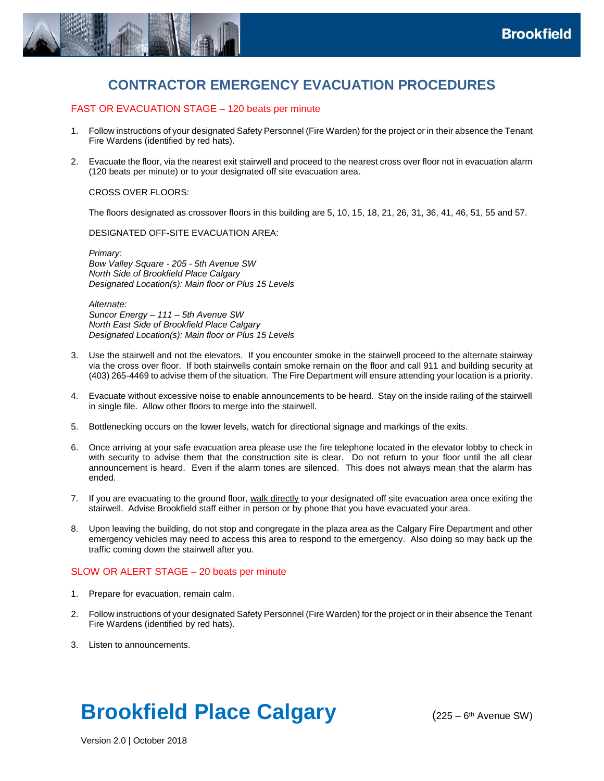

# **CONTRACTOR EMERGENCY EVACUATION PROCEDURES**

# FAST OR EVACUATION STAGE – 120 beats per minute

- 1. Follow instructions of your designated Safety Personnel (Fire Warden) for the project or in their absence the Tenant Fire Wardens (identified by red hats).
- 2. Evacuate the floor, via the nearest exit stairwell and proceed to the nearest cross over floor not in evacuation alarm (120 beats per minute) or to your designated off site evacuation area.

CROSS OVER FLOORS:

The floors designated as crossover floors in this building are 5, 10, 15, 18, 21, 26, 31, 36, 41, 46, 51, 55 and 57.

DESIGNATED OFF-SITE EVACUATION AREA:

*Primary: Bow Valley Square - 205 - 5th Avenue SW North Side of Brookfield Place Calgary Designated Location(s): Main floor or Plus 15 Levels* 

*Alternate: Suncor Energy – 111 – 5th Avenue SW North East Side of Brookfield Place Calgary Designated Location(s): Main floor or Plus 15 Levels* 

- 3. Use the stairwell and not the elevators. If you encounter smoke in the stairwell proceed to the alternate stairway via the cross over floor. If both stairwells contain smoke remain on the floor and call 911 and building security at (403) 265-4469 to advise them of the situation. The Fire Department will ensure attending your location is a priority.
- 4. Evacuate without excessive noise to enable announcements to be heard. Stay on the inside railing of the stairwell in single file. Allow other floors to merge into the stairwell.
- 5. Bottlenecking occurs on the lower levels, watch for directional signage and markings of the exits.
- 6. Once arriving at your safe evacuation area please use the fire telephone located in the elevator lobby to check in with security to advise them that the construction site is clear. Do not return to your floor until the all clear announcement is heard. Even if the alarm tones are silenced. This does not always mean that the alarm has ended.
- 7. If you are evacuating to the ground floor, walk directly to your designated off site evacuation area once exiting the stairwell. Advise Brookfield staff either in person or by phone that you have evacuated your area.
- 8. Upon leaving the building, do not stop and congregate in the plaza area as the Calgary Fire Department and other emergency vehicles may need to access this area to respond to the emergency. Also doing so may back up the traffic coming down the stairwell after you.

# SLOW OR ALERT STAGE – 20 beats per minute

- 1. Prepare for evacuation, remain calm.
- 2. Follow instructions of your designated Safety Personnel (Fire Warden) for the project or in their absence the Tenant Fire Wardens (identified by red hats).
- 3. Listen to announcements.

# **Brookfield Place Calgary**

 $(225 - 6<sup>th</sup>$  Avenue SW)